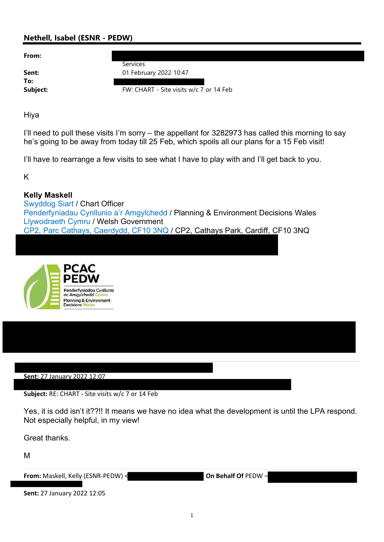# Nethell, Isabel (ESNR - PEDW)

From:

To:

**Services** 

**Sent:** 01 February 2022 10:47

Subject: FW: CHART - Site visits w/c 7 or 14 Feb

Hiya

I'll need to pull these visits I'm sorry – the appellant for 3282973 has called this morning to say he's going to be away from today till 25 Feb, which spoils all our plans for a 15 Feb visit!

I'll have to rearrange a few visits to see what I have to play with and I'll get back to you.

K

# Kelly Maskell

Swyddog Siart / Chart Officer Penderfyniadau Cynllunio a'r Amgylchedd / Planning & Environment Decisions Wales Llywodraeth Cymru / Welsh Government CP2, Parc Cathays, Caerdydd, CF10 3NQ / CP2, Cathays Park, Cardiff, CF10 3NQ



Sent: 27 January 2022 12:07

Subject: RE: CHART - Site visits w/c 7 or 14 Feb

Yes, it is odd isn't it??!! It means we have no idea what the development is until the LPA respond. Not especially helpful, in my view!

Great thanks.

M

From: Maskell, Kelly (ESNR-PEDW) < On Behalf Of PEDW

Sent: 27 January 2022 12:05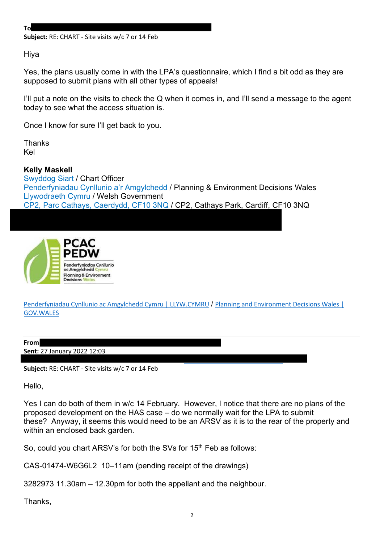To

Subject: RE: CHART - Site visits w/c 7 or 14 Feb

Hiya

Yes, the plans usually come in with the LPA's questionnaire, which I find a bit odd as they are supposed to submit plans with all other types of appeals!

I'll put a note on the visits to check the Q when it comes in, and I'll send a message to the agent today to see what the access situation is.

Once I know for sure I'll get back to you.

Thanks Kel

Kelly Maskell Swyddog Siart / Chart Officer Penderfyniadau Cynllunio a'r Amgylchedd / Planning & Environment Decisions Wales Llywodraeth Cymru / Welsh Government CP2, Parc Cathays, Caerdydd, CF10 3NQ / CP2, Cathays Park, Cardiff, CF10 3NQ



Penderfyniadau Cynllunio ac Amgylchedd Cymru | LLYW.CYMRU / Planning and Environment Decisions Wales | GOV.WALES

| From                               |  |
|------------------------------------|--|
|                                    |  |
| <b>Sent:</b> 27 January 2022 12:03 |  |

Subject: RE: CHART - Site visits w/c 7 or 14 Feb

Hello,

Yes I can do both of them in w/c 14 February. However, I notice that there are no plans of the proposed development on the HAS case – do we normally wait for the LPA to submit these? Anyway, it seems this would need to be an ARSV as it is to the rear of the property and within an enclosed back garden.

So, could you chart ARSV's for both the SVs for 15<sup>th</sup> Feb as follows:

CAS-01474-W6G6L2 10–11am (pending receipt of the drawings)

3282973 11.30am – 12.30pm for both the appellant and the neighbour.

Thanks,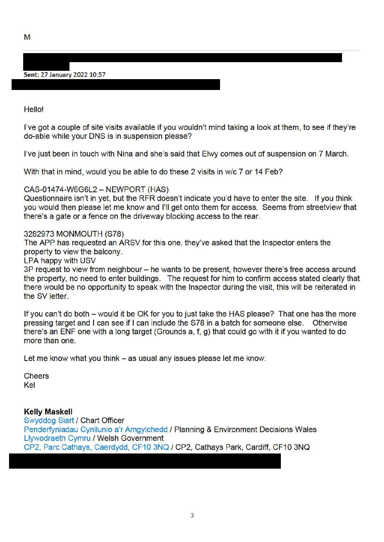M

## Sent: 27 January 2022 10:57

**Hello!** 

I've got a couple of site visits available if you wouldn't mind taking a look at them, to see if they're do-able while your DNS is in suspension please?

I've just been in touch with Nina and she's said that Elwy comes out of suspension on 7 March.

With that in mind, would you be able to do these 2 visits in w/c 7 or 14 Feb?

### CAS-01474-W6G6L2 - NEWPORT (HAS)

Questionnaire isn't in yet, but the RFR doesn't indicate you'd have to enter the site. If you think you would then please let me know and I'll get onto them for access. Seems from streetview that there's a gate or a fence on the driveway blocking access to the rear.

#### 3282973 MONMOUTH (S78)

The APP has requested an ARSV for this one, they've asked that the Inspector enters the property to view the balcony.

### LPA happy with USV

3P request to view from neighbour – he wants to be present, however there's free access around the property, no need to enter buildings. The request for him to confirm access stated clearly that there would be no opportunity to speak with the Inspector during the visit, this will be reiterated in the SV letter.

If you can't do both – would it be OK for you to just take the HAS please? That one has the more pressing target and I can see if I can include the S78 in a batch for someone else. Otherwise there's an ENF one with a long target (Grounds a, f, g) that could go with it if you wanted to do more than one.

Let me know what you think – as usual any issues please let me know.

**Cheers** Kel

### **Kelly Maskell**

Swyddog Siart / Chart Officer Penderfyniadau Cynllunio a'r Amgylchedd / Planning & Environment Decisions Wales Llywodraeth Cymru / Welsh Government CP2, Parc Cathays, Caerdydd, CF10 3NQ / CP2, Cathays Park, Cardiff, CF10 3NQ